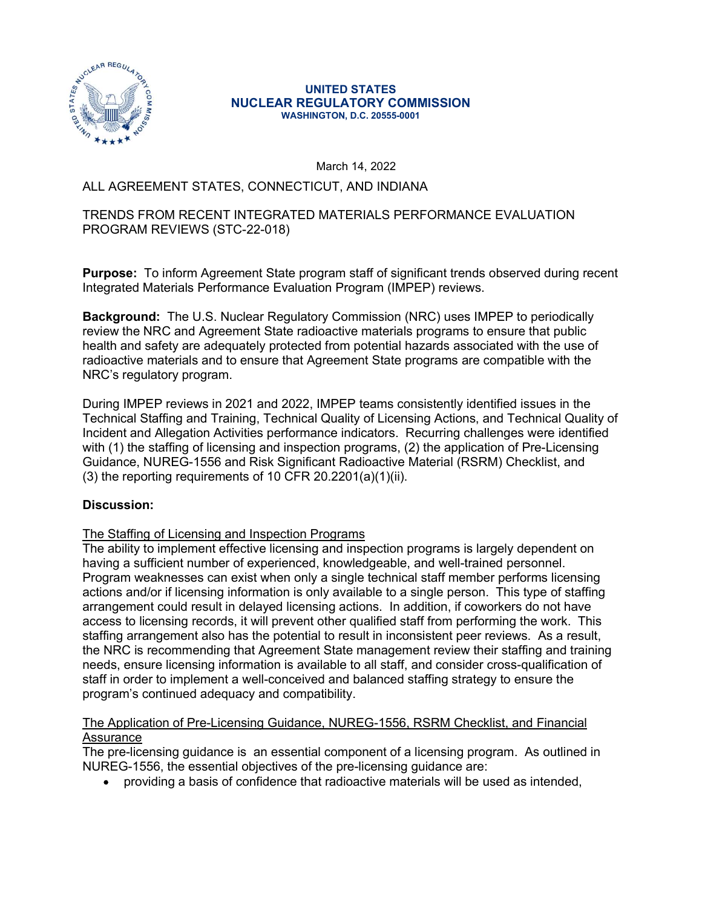

#### UNITED STATES NUCLEAR REGULATORY COMMISSION WASHINGTON, D.C. 20555-0001

March 14, 2022

#### ALL AGREEMENT STATES, CONNECTICUT, AND INDIANA

#### TRENDS FROM RECENT INTEGRATED MATERIALS PERFORMANCE EVALUATION PROGRAM REVIEWS (STC-22-018)

**Purpose:** To inform Agreement State program staff of significant trends observed during recent Integrated Materials Performance Evaluation Program (IMPEP) reviews.

Background: The U.S. Nuclear Regulatory Commission (NRC) uses IMPEP to periodically review the NRC and Agreement State radioactive materials programs to ensure that public health and safety are adequately protected from potential hazards associated with the use of radioactive materials and to ensure that Agreement State programs are compatible with the NRC's regulatory program.

During IMPEP reviews in 2021 and 2022, IMPEP teams consistently identified issues in the Technical Staffing and Training, Technical Quality of Licensing Actions, and Technical Quality of Incident and Allegation Activities performance indicators. Recurring challenges were identified with (1) the staffing of licensing and inspection programs, (2) the application of Pre-Licensing Guidance, NUREG-1556 and Risk Significant Radioactive Material (RSRM) Checklist, and  $(3)$  the reporting requirements of 10 CFR 20.2201(a)(1)(ii).

## **Discussion:**<br>The Staffing of Licensing and Inspection Programs

The ability to implement effective licensing and inspection programs is largely dependent on having a sufficient number of experienced, knowledgeable, and well-trained personnel. Program weaknesses can exist when only a single technical staff member performs licensing actions and/or if licensing information is only available to a single person. This type of staffing arrangement could result in delayed licensing actions. In addition, if coworkers do not have access to licensing records, it will prevent other qualified staff from performing the work. This staffing arrangement also has the potential to result in inconsistent peer reviews. As a result, the NRC is recommending that Agreement State management review their staffing and training needs, ensure licensing information is available to all staff, and consider cross-qualification of staff in order to implement a well-conceived and balanced staffing strategy to ensure the program's continued adequacy and compatibility.

#### The Application of Pre-Licensing Guidance, NUREG-1556, RSRM Checklist, and Financial Assurance

The pre-licensing guidance is an essential component of a licensing program. As outlined in NUREG-1556, the essential objectives of the pre-licensing guidance are:

providing a basis of confidence that radioactive materials will be used as intended,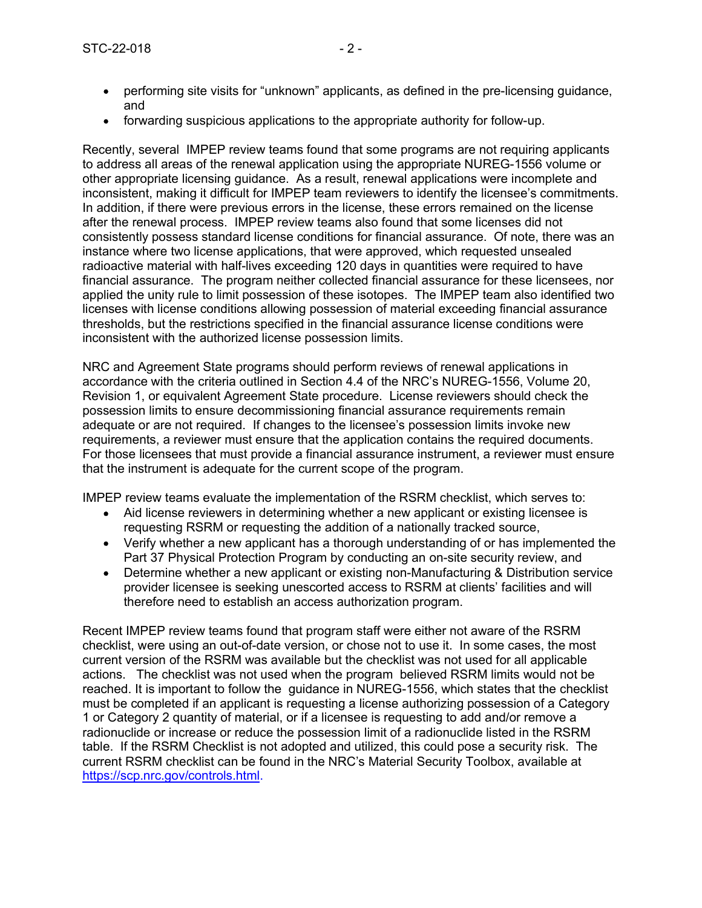- STC-22-018 2 -<br>
performing site visits for "unknown" applicants, as defined in the pre-licensing guidance,<br>
forwarding suspicious applications to the appropriate authority for follow-up performing site visits for "unknown" applicants, as defined in the pre-licensing guidance, and
	- forwarding suspicious applications to the appropriate authority for follow-up.

Recently, several IMPEP review teams found that some programs are not requiring applicants to address all areas of the renewal application using the appropriate NUREG-1556 volume or other appropriate licensing guidance. As a result, renewal applications were incomplete and inconsistent, making it difficult for IMPEP team reviewers to identify the licensee's commitments. In addition, if there were previous errors in the license, these errors remained on the license after the renewal process. IMPEP review teams also found that some licenses did not consistently possess standard license conditions for financial assurance. Of note, there was an instance where two license applications, that were approved, which requested unsealed radioactive material with half-lives exceeding 120 days in quantities were required to have financial assurance. The program neither collected financial assurance for these licensees, nor applied the unity rule to limit possession of these isotopes. The IMPEP team also identified two licenses with license conditions allowing possession of material exceeding financial assurance thresholds, but the restrictions specified in the financial assurance license conditions were inconsistent with the authorized license possession limits.

NRC and Agreement State programs should perform reviews of renewal applications in accordance with the criteria outlined in Section 4.4 of the NRC's NUREG-1556, Volume 20, Revision 1, or equivalent Agreement State procedure. License reviewers should check the possession limits to ensure decommissioning financial assurance requirements remain adequate or are not required. If changes to the licensee's possession limits invoke new requirements, a reviewer must ensure that the application contains the required documents. For those licensees that must provide a financial assurance instrument, a reviewer must ensure that the instrument is adequate for the current scope of the program.

IMPEP review teams evaluate the implementation of the RSRM checklist, which serves to:

- Aid license reviewers in determining whether a new applicant or existing licensee is requesting RSRM or requesting the addition of a nationally tracked source,
- Verify whether a new applicant has a thorough understanding of or has implemented the Part 37 Physical Protection Program by conducting an on-site security review, and
- $\bullet$ Determine whether a new applicant or existing non-Manufacturing & Distribution service provider licensee is seeking unescorted access to RSRM at clients' facilities and will therefore need to establish an access authorization program.

Recent IMPEP review teams found that program staff were either not aware of the RSRM checklist, were using an out-of-date version, or chose not to use it. In some cases, the most current version of the RSRM was available but the checklist was not used for all applicable actions. The checklist was not used when the program believed RSRM limits would not be reached. It is important to follow the guidance in NUREG-1556, which states that the checklist must be completed if an applicant is requesting a license authorizing possession of a Category 1 or Category 2 quantity of material, or if a licensee is requesting to add and/or remove a radionuclide or increase or reduce the possession limit of a radionuclide listed in the RSRM table. If the RSRM Checklist is not adopted and utilized, this could pose a security risk. The current RSRM checklist can be found in the NRC's Material Security Toolbox, available at https://scp.nrc.gov/controls.html.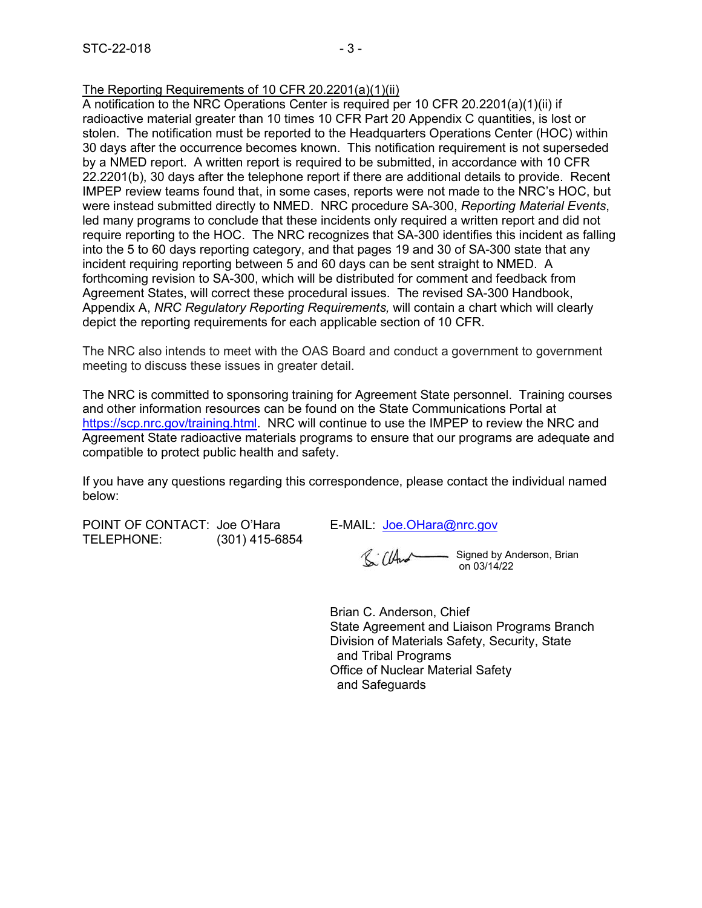#### The Reporting Requirements of 10 CFR 20.2201(a)(1)(ii)

STC-22-018 - 3<br>The Reporting Requirements of 10 CFR 20.2201(a)(1)(ii)<br>A notification to the NRC Operations Center is required per 10 CFR 20.2201(a)(1)(ii) if<br>radioactive material greater than 10 times 10 CFR Part 20 Append A notification to the NRC Operations Center is required per 10 CFR 20.2201(a)(1)(ii) if radioactive material greater than 10 times 10 CFR Part 20 Appendix C quantities, is lost or stolen. The notification must be reported to the Headquarters Operations Center (HOC) within 30 days after the occurrence becomes known. This notification requirement is not superseded by a NMED report. A written report is required to be submitted, in accordance with 10 CFR 22.2201(b), 30 days after the telephone report if there are additional details to provide. Recent IMPEP review teams found that, in some cases, reports were not made to the NRC's HOC, but were instead submitted directly to NMED. NRC procedure SA-300, Reporting Material Events, led many programs to conclude that these incidents only required a written report and did not require reporting to the HOC. The NRC recognizes that SA-300 identifies this incident as falling into the 5 to 60 days reporting category, and that pages 19 and 30 of SA-300 state that any incident requiring reporting between 5 and 60 days can be sent straight to NMED. A forthcoming revision to SA-300, which will be distributed for comment and feedback from Agreement States, will correct these procedural issues. The revised SA-300 Handbook, Appendix A, NRC Regulatory Reporting Requirements, will contain a chart which will clearly depict the reporting requirements for each applicable section of 10 CFR. require reporting to the HOC. The NRC recognizes that SA-300 identifies this incident as falling<br>into the 5 to 60 days reporting category, and that pages 19 and 30 of SA-300 state that any<br>incident requiring reporting reas into the 5 to 60 days reporting category, and that pages 19 and 30 of SA-300 state that a incident requiring reporting category, and that pages 19 and 30 of SA-300 state that a incident requiring reporting beyween 5 and 6

The NRC also intends to meet with the OAS Board and conduct a government to government meeting to discuss these issues in greater detail.

The NRC is committed to sponsoring training for Agreement State personnel. Training courses and other information resources can be found on the State Communications Portal at https://scp.nrc.gov/training.html. NRC will continue to use the IMPEP to review the NRC and Agreement State radioactive materials programs to ensure that our programs are adequate and compatible to protect public health and safety.

If you have any questions regarding this correspondence, please contact the individual named below:

Signed by Anderson, Brian on 03/14/22

Brian C. Anderson, Chief State Agreement and Liaison Programs Branch Division of Materials Safety, Security, State and Tribal Programs Office of Nuclear Material Safety and Safeguards